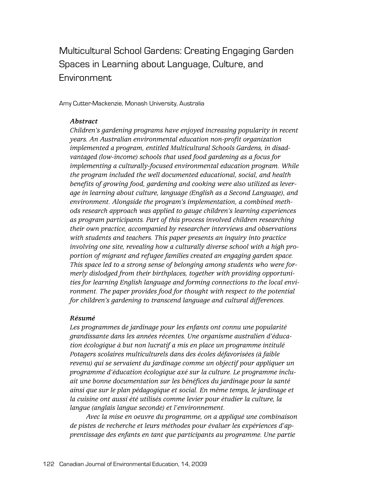Multicultural School Gardens: Creating Engaging Garden Spaces in Learning about Language, Culture, and Environment

Amy Cutter-Mackenzie, Monash University, Australia

#### *Abstract*

*Children's gardening programs have enjoyed increasing popularity in recent years. An Australian environmental education non-profit organization implemented a program, entitled Multicultural Schools Gardens, in disadvantaged (low-income) schools that used food gardening as a focus for implementing a culturally-focused environmental education program. While the program included the well documented educational, social, and health benefits of growing food, gardening and cooking were also utilized as leverage in learning about culture, language (English as a Second Language), and environment. Alongside the program's implementation, a combined methods research approach was applied to gauge children's learning experiences as program participants. Part of this process involved children researching their own practice, accompanied by researcher interviews and observations with students and teachers. This paper presents an inquiry into practice involving one site, revealing how a culturally diverse school with a high proportion of migrant and refugee families created an engaging garden space. This space led to a strong sense of belonging among students who were formerly dislodged from their birthplaces, together with providing opportunities for learning English language and forming connections to the local environment. The paper provides food for thought with respect to the potential for children's gardening to transcend language and cultural differences.*

#### *Résumé*

*Les programmes de jardinage pour les enfants ont connu une popularité grandissante dans les années récentes. Une organisme australien d'éducation écologique à but non lucratif a mis en place un programme intitulé Potagers scolaires multiculturels dans des écoles défavorisées (à faible revenu) qui se servaient du jardinage comme un objectif pour appliquer un programme d'éducation écologique axé sur la culture. Le programme incluait une bonne documentation sur les bénéfices du jardinage pour la santé ainsi que sur le plan pédagogique et social. En même temps, le jardinage et la cuisine ont aussi été utilisés comme levier pour étudier la culture, la langue (anglais langue seconde) et l'environnement.*

*Avec la mise en oeuvre du programme, on a appliqué une combinaison de pistes de recherche et leurs méthodes pour évaluer les expériences d'apprentissage des enfants en tant que participants au programme. Une partie*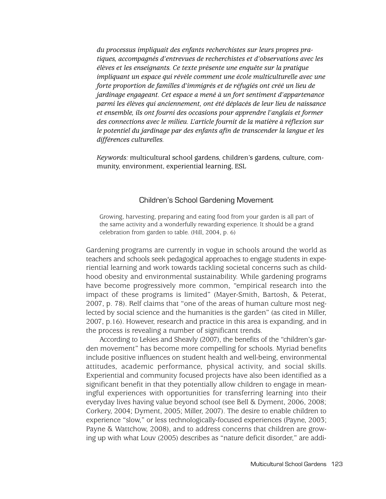*du processus impliquait des enfants recherchistes sur leurs propres pratiques, accompagnés d'entrevues de recherchistes et d'observations avec les élèves et les enseignants. Ce texte présente une enquête sur la pratique impliquant un espace qui révèle comment une école multiculturelle avec une forte proportion de familles d'immigrés et de réfugiés ont créé un lieu de jardinage engageant. Cet espace a mené à un fort sentiment d'appartenance parmi les élèves qui anciennement, ont été déplacés de leur lieu de naissance et ensemble, ils ont fourni des occasions pour apprendre l'anglais et former des connections avec le milieu. L'article fournit de la matière à réflexion sur le potentiel du jardinage par des enfants afin de transcender la langue et les différences culturelles.*

*Keywords:* multicultural school gardens, children's gardens, culture, community, environment, experiential learning, ESL

## Children's School Gardening Movement

Growing, harvesting, preparing and eating food from your garden is all part of the same activity and a wonderfully rewarding experience. It should be a grand celebration from garden to table. (Hill, 2004, p. 6)

Gardening programs are currently in vogue in schools around the world as teachers and schools seek pedagogical approaches to engage students in experiential learning and work towards tackling societal concerns such as childhood obesity and environmental sustainability. While gardening programs have become progressively more common, "empirical research into the impact of these programs is limited" (Mayer-Smith, Bartosh, & Peterat, 2007, p. 78). Relf claims that "one of the areas of human culture most neglected by social science and the humanities is the garden" (as cited in Miller, 2007, p.16). However, research and practice in this area is expanding, and in the process is revealing a number of significant trends.

According to Lekies and Sheavly (2007), the benefits of the "children's garden movement" has become more compelling for schools. Myriad benefits include positive influences on student health and well-being, environmental attitudes, academic performance, physical activity, and social skills. Experiential and community focused projects have also been identified as a significant benefit in that they potentially allow children to engage in meaningful experiences with opportunities for transferring learning into their everyday lives having value beyond school (see Bell & Dyment, 2006, 2008; Corkery, 2004; Dyment, 2005; Miller, 2007). The desire to enable children to experience "slow," or less technologically-focused experiences (Payne, 2003; Payne & Wattchow, 2008), and to address concerns that children are growing up with what Louv (2005) describes as "nature deficit disorder," are addi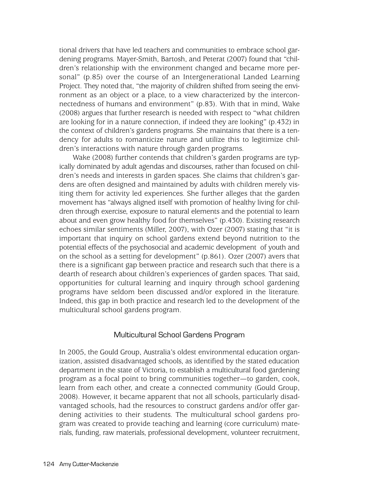tional drivers that have led teachers and communities to embrace school gardening programs. Mayer-Smith, Bartosh, and Peterat (2007) found that "children's relationship with the environment changed and became more personal" (p.85) over the course of an Intergenerational Landed Learning Project. They noted that, "the majority of children shifted from seeing the environment as an object or a place, to a view characterized by the interconnectedness of humans and environment" (p.83). With that in mind, Wake (2008) argues that further research is needed with respect to "what children are looking for in a nature connection, if indeed they are looking" (p.432) in the context of children's gardens programs. She maintains that there is a tendency for adults to romanticize nature and utilize this to legitimize children's interactions with nature through garden programs.

Wake (2008) further contends that children's garden programs are typically dominated by adult agendas and discourses, rather than focused on children's needs and interests in garden spaces. She claims that children's gardens are often designed and maintained by adults with children merely visiting them for activity led experiences. She further alleges that the garden movement has "always aligned itself with promotion of healthy living for children through exercise, exposure to natural elements and the potential to learn about and even grow healthy food for themselves" (p.430). Existing research echoes similar sentiments (Miller, 2007), with Ozer (2007) stating that "it is important that inquiry on school gardens extend beyond nutrition to the potential effects of the psychosocial and academic development of youth and on the school as a setting for development" (p.861). Ozer (2007) avers that there is a significant gap between practice and research such that there is a dearth of research about children's experiences of garden spaces. That said, opportunities for cultural learning and inquiry through school gardening programs have seldom been discussed and/or explored in the literature. Indeed, this gap in both practice and research led to the development of the multicultural school gardens program.

## Multicultural School Gardens Program

In 2005, the Gould Group, Australia's oldest environmental education organization, assisted disadvantaged schools, as identified by the stated education department in the state of Victoria, to establish a multicultural food gardening program as a focal point to bring communities together—to garden, cook, learn from each other, and create a connected community (Gould Group, 2008). However, it became apparent that not all schools, particularly disadvantaged schools, had the resources to construct gardens and/or offer gardening activities to their students. The multicultural school gardens program was created to provide teaching and learning (core curriculum) materials, funding, raw materials, professional development, volunteer recruitment,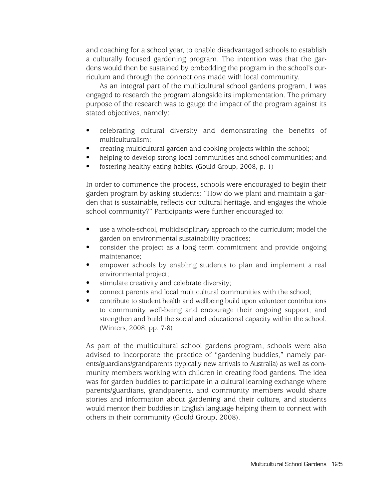and coaching for a school year, to enable disadvantaged schools to establish a culturally focused gardening program. The intention was that the gardens would then be sustained by embedding the program in the school's curriculum and through the connections made with local community.

As an integral part of the multicultural school gardens program, I was engaged to research the program alongside its implementation. The primary purpose of the research was to gauge the impact of the program against its stated objectives, namely:

- celebrating cultural diversity and demonstrating the benefits of multiculturalism;
- creating multicultural garden and cooking projects within the school;
- helping to develop strong local communities and school communities; and
- fostering healthy eating habits. (Gould Group, 2008, p. 1)

In order to commence the process, schools were encouraged to begin their garden program by asking students: "How do we plant and maintain a garden that is sustainable, reflects our cultural heritage, and engages the whole school community?" Participants were further encouraged to:

- use a whole-school, multidisciplinary approach to the curriculum; model the garden on environmental sustainability practices;
- consider the project as a long term commitment and provide ongoing maintenance;
- empower schools by enabling students to plan and implement a real environmental project;
- stimulate creativity and celebrate diversity;
- connect parents and local multicultural communities with the school;
- contribute to student health and wellbeing build upon volunteer contributions to community well-being and encourage their ongoing support; and strengthen and build the social and educational capacity within the school. (Winters, 2008, pp. 7-8)

As part of the multicultural school gardens program, schools were also advised to incorporate the practice of "gardening buddies," namely parents/guardians/grandparents (typically new arrivals to Australia) as well as community members working with children in creating food gardens. The idea was for garden buddies to participate in a cultural learning exchange where parents/guardians, grandparents, and community members would share stories and information about gardening and their culture, and students would mentor their buddies in English language helping them to connect with others in their community (Gould Group, 2008).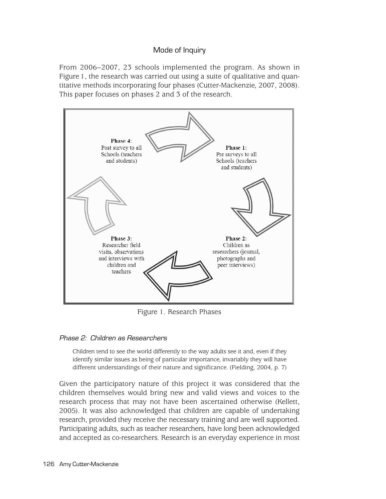# Mode of Inquiry

From 2006–2007, 23 schools implemented the program. As shown in Figure 1, the research was carried out using a suite of qualitative and quantitative methods incorporating four phases (Cutter-Mackenzie, 2007, 2008). This paper focuses on phases 2 and 3 of the research.



Figure 1. Research Phases

## Phase 2: Children as Researchers

Children tend to see the world differently to the way adults see it and, even if they identify similar issues as being of particular importance, invariably they will have different understandings of their nature and significance. (Fielding, 2004, p. 7)

Given the participatory nature of this project it was considered that the children themselves would bring new and valid views and voices to the research process that may not have been ascertained otherwise (Kellett, 2005). It was also acknowledged that children are capable of undertaking research, provided they receive the necessary training and are well supported. Participating adults, such as teacher researchers, have long been acknowledged and accepted as co-researchers. Research is an everyday experience in most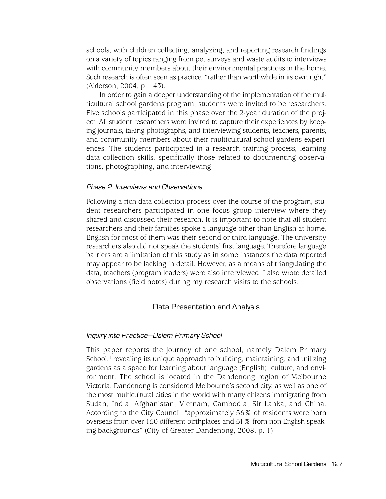schools, with children collecting, analyzing, and reporting research findings on a variety of topics ranging from pet surveys and waste audits to interviews with community members about their environmental practices in the home. Such research is often seen as practice, "rather than worthwhile in its own right" (Alderson, 2004, p. 143).

In order to gain a deeper understanding of the implementation of the multicultural school gardens program, students were invited to be researchers. Five schools participated in this phase over the 2-year duration of the project. All student researchers were invited to capture their experiences by keeping journals, taking photographs, and interviewing students, teachers, parents, and community members about their multicultural school gardens experiences. The students participated in a research training process, learning data collection skills, specifically those related to documenting observations, photographing, and interviewing.

#### Phase 2: Interviews and Observations

Following a rich data collection process over the course of the program, student researchers participated in one focus group interview where they shared and discussed their research. It is important to note that all student researchers and their families spoke a language other than English at home. English for most of them was their second or third language. The university researchers also did not speak the students' first language. Therefore language barriers are a limitation of this study as in some instances the data reported may appear to be lacking in detail. However, as a means of triangulating the data, teachers (program leaders) were also interviewed. I also wrote detailed observations (field notes) during my research visits to the schools.

#### Data Presentation and Analysis

#### Inquiry into Practice—Dalem Primary School

This paper reports the journey of one school, namely Dalem Primary School, $<sup>1</sup>$  revealing its unique approach to building, maintaining, and utilizing</sup> gardens as a space for learning about language (English), culture, and environment. The school is located in the Dandenong region of Melbourne Victoria. Dandenong is considered Melbourne's second city, as well as one of the most multicultural cities in the world with many citizens immigrating from Sudan, India, Afghanistan, Vietnam, Cambodia, Sir Lanka, and China. According to the City Council, "approximately 56% of residents were born overseas from over 150 different birthplaces and 51% from non-English speaking backgrounds" (City of Greater Dandenong, 2008, p. 1).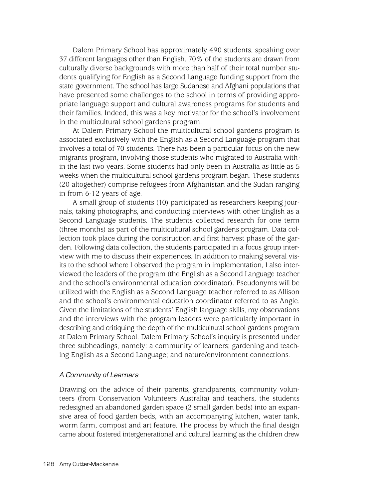Dalem Primary School has approximately 490 students, speaking over 37 different languages other than English. 70% of the students are drawn from culturally diverse backgrounds with more than half of their total number students qualifying for English as a Second Language funding support from the state government. The school has large Sudanese and Afghani populations that have presented some challenges to the school in terms of providing appropriate language support and cultural awareness programs for students and their families. Indeed, this was a key motivator for the school's involvement in the multicultural school gardens program.

At Dalem Primary School the multicultural school gardens program is associated exclusively with the English as a Second Language program that involves a total of 70 students. There has been a particular focus on the new migrants program, involving those students who migrated to Australia within the last two years. Some students had only been in Australia as little as 5 weeks when the multicultural school gardens program began. These students (20 altogether) comprise refugees from Afghanistan and the Sudan ranging in from 6-12 years of age.

A small group of students (10) participated as researchers keeping journals, taking photographs, and conducting interviews with other English as a Second Language students. The students collected research for one term (three months) as part of the multicultural school gardens program. Data collection took place during the construction and first harvest phase of the garden. Following data collection, the students participated in a focus group interview with me to discuss their experiences. In addition to making several visits to the school where I observed the program in implementation, I also interviewed the leaders of the program (the English as a Second Language teacher and the school's environmental education coordinator). Pseudonyms will be utilized with the English as a Second Language teacher referred to as Allison and the school's environmental education coordinator referred to as Angie. Given the limitations of the students' English language skills, my observations and the interviews with the program leaders were particularly important in describing and critiquing the depth of the multicultural school gardens program at Dalem Primary School. Dalem Primary School's inquiry is presented under three subheadings, namely: a community of learners; gardening and teaching English as a Second Language; and nature/environment connections.

## A Community of Learners

Drawing on the advice of their parents, grandparents, community volunteers (from Conservation Volunteers Australia) and teachers, the students redesigned an abandoned garden space (2 small garden beds) into an expansive area of food garden beds, with an accompanying kitchen, water tank, worm farm, compost and art feature. The process by which the final design came about fostered intergenerational and cultural learning as the children drew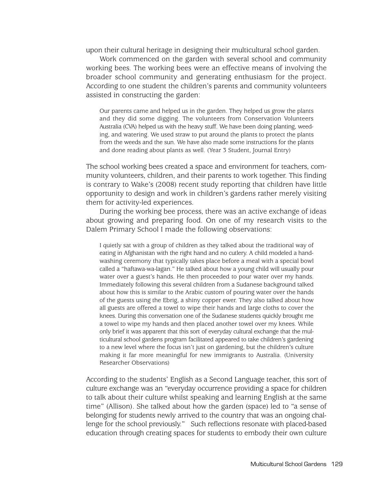upon their cultural heritage in designing their multicultural school garden.

Work commenced on the garden with several school and community working bees. The working bees were an effective means of involving the broader school community and generating enthusiasm for the project. According to one student the children's parents and community volunteers assisted in constructing the garden:

Our parents came and helped us in the garden. They helped us grow the plants and they did some digging. The volunteers from Conservation Volunteers Australia (CVA) helped us with the heavy stuff. We have been doing planting, weeding, and watering. We used straw to put around the plants to protect the plants from the weeds and the sun. We have also made some instructions for the plants and done reading about plants as well. (Year 3 Student, Journal Entry)

The school working bees created a space and environment for teachers, community volunteers, children, and their parents to work together. This finding is contrary to Wake's (2008) recent study reporting that children have little opportunity to design and work in children's gardens rather merely visiting them for activity-led experiences.

During the working bee process, there was an active exchange of ideas about growing and preparing food. On one of my research visits to the Dalem Primary School I made the following observations:

I quietly sat with a group of children as they talked about the traditional way of eating in Afghanistan with the right hand and no cutlery. A child modeled a handwashing ceremony that typically takes place before a meal with a special bowl called a "haftawa-wa-lagan." He talked about how a young child will usually pour water over a guest's hands. He then proceeded to pour water over my hands. Immediately following this several children from a Sudanese background talked about how this is similar to the Arabic custom of pouring water over the hands of the guests using the Ebrig, a shiny copper ewer. They also talked about how all guests are offered a towel to wipe their hands and large cloths to cover the knees. During this conversation one of the Sudanese students quickly brought me a towel to wipe my hands and then placed another towel over my knees. While only brief it was apparent that this sort of everyday cultural exchange that the multicultural school gardens program facilitated appeared to take children's gardening to a new level where the focus isn't just on gardening, but the children's culture making it far more meaningful for new immigrants to Australia. (University Researcher Observations)

According to the students' English as a Second Language teacher, this sort of culture exchange was an "everyday occurrence providing a space for children to talk about their culture whilst speaking and learning English at the same time" (Allison). She talked about how the garden (space) led to "a sense of belonging for students newly arrived to the country that was an ongoing challenge for the school previously." Such reflections resonate with placed-based education through creating spaces for students to embody their own culture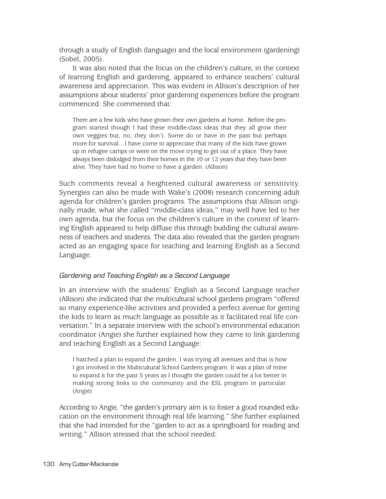through a study of English (language) and the local environment (gardening) (Sobel, 2005).

It was also noted that the focus on the children's culture, in the context of learning English and gardening, appeared to enhance teachers' cultural awareness and appreciation. This was evident in Allison's description of her assumptions about students' prior gardening experiences before the program commenced. She commented that:

There are a few kids who have grown their own gardens at home. Before the program started though I had these middle-class ideas that they all grow their own veggies but, no, they don't. Some do or have in the past but perhaps more for survival…I have come to appreciate that many of the kids have grown up in refugee camps or were on the move trying to get out of a place. They have always been dislodged from their homes in the 10 or 12 years that they have been alive. They have had no home to have a garden. (Allison)

Such comments reveal a heightened cultural awareness or sensitivity. Synergies can also be made with Wake's (2008) research concerning adult agenda for children's garden programs. The assumptions that Allison originally made, what she called "middle-class ideas," may well have led to her own agenda, but the focus on the children's culture in the context of learning English appeared to help diffuse this through building the cultural awareness of teachers and students. The data also revealed that the garden program acted as an engaging space for teaching and learning English as a Second Language.

# Gardening and Teaching English as a Second Language

In an interview with the students' English as a Second Language teacher (Allison) she indicated that the multicultural school gardens program "offered so many experience-like activities and provided a perfect avenue for getting the kids to learn as much language as possible as it facilitated real life conversation." In a separate interview with the school's environmental education coordinator (Angie) she further explained how they came to link gardening and teaching English as a Second Language:

I hatched a plan to expand the garden. I was trying all avenues and that is how I got involved in the Multicultural School Gardens program. It was a plan of mine to expand it for the past 5 years as I thought the garden could be a lot better in making strong links to the community and the ESL program in particular. (Angie)

According to Angie, "the garden's primary aim is to foster a good rounded education on the environment through real life learning." She further explained that she had intended for the "garden to act as a springboard for reading and writing." Allison stressed that the school needed: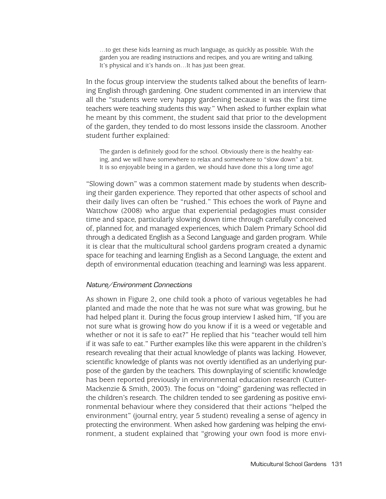…to get these kids learning as much language, as quickly as possible. With the garden you are reading instructions and recipes, and you are writing and talking. It's physical and it's hands on…It has just been great.

In the focus group interview the students talked about the benefits of learning English through gardening. One student commented in an interview that all the "students were very happy gardening because it was the first time teachers were teaching students this way." When asked to further explain what he meant by this comment, the student said that prior to the development of the garden, they tended to do most lessons inside the classroom. Another student further explained:

The garden is definitely good for the school. Obviously there is the healthy eating, and we will have somewhere to relax and somewhere to "slow down" a bit. It is so enjoyable being in a garden, we should have done this a long time ago!

"Slowing down" was a common statement made by students when describing their garden experience. They reported that other aspects of school and their daily lives can often be "rushed." This echoes the work of Payne and Wattchow (2008) who argue that experiential pedagogies must consider time and space, particularly slowing down time through carefully conceived of, planned for, and managed experiences, which Dalem Primary School did through a dedicated English as a Second Language and garden program. While it is clear that the multicultural school gardens program created a dynamic space for teaching and learning English as a Second Language, the extent and depth of environmental education (teaching and learning) was less apparent.

### Nature/Environment Connections

As shown in Figure 2, one child took a photo of various vegetables he had planted and made the note that he was not sure what was growing, but he had helped plant it. During the focus group interview I asked him, "If you are not sure what is growing how do you know if it is a weed or vegetable and whether or not it is safe to eat?" He replied that his "teacher would tell him if it was safe to eat." Further examples like this were apparent in the children's research revealing that their actual knowledge of plants was lacking. However, scientific knowledge of plants was not overtly identified as an underlying purpose of the garden by the teachers. This downplaying of scientific knowledge has been reported previously in environmental education research (Cutter-Mackenzie & Smith, 2003). The focus on "doing" gardening was reflected in the children's research. The children tended to see gardening as positive environmental behaviour where they considered that their actions "helped the environment" (journal entry, year 5 student) revealing a sense of agency in protecting the environment. When asked how gardening was helping the environment, a student explained that "growing your own food is more envi-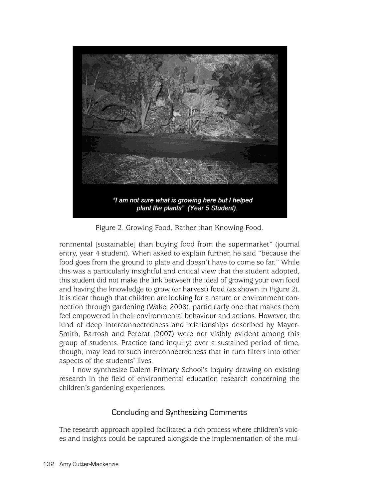

"I am not sure what is growing here but I helped plant the plants" (Year 5 Student).

Figure 2. Growing Food, Rather than Knowing Food.

ronmental [sustainable] than buying food from the supermarket" (journal entry, year 4 student)*.* When asked to explain further, he said "because the food goes from the ground to plate and doesn't have to come so far." While this was a particularly insightful and critical view that the student adopted, this student did not make the link between the ideal of growing your own food and having the knowledge to grow (or harvest) food (as shown in Figure 2). It is clear though that children are looking for a nature or environment connection through gardening (Wake, 2008), particularly one that makes them feel empowered in their environmental behaviour and actions. However, the kind of deep interconnectedness and relationships described by Mayer-Smith, Bartosh and Peterat (2007) were not visibly evident among this group of students. Practice (and inquiry) over a sustained period of time, though, may lead to such interconnectedness that in turn filters into other aspects of the students' lives.

I now synthesize Dalem Primary School's inquiry drawing on existing research in the field of environmental education research concerning the children's gardening experiences.

# Concluding and Synthesizing Comments

The research approach applied facilitated a rich process where children's voices and insights could be captured alongside the implementation of the mul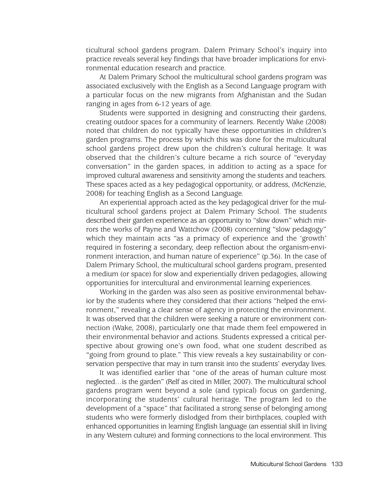ticultural school gardens program. Dalem Primary School's inquiry into practice reveals several key findings that have broader implications for environmental education research and practice.

At Dalem Primary School the multicultural school gardens program was associated exclusively with the English as a Second Language program with a particular focus on the new migrants from Afghanistan and the Sudan ranging in ages from 6-12 years of age.

Students were supported in designing and constructing their gardens, creating outdoor spaces for a community of learners. Recently Wake (2008) noted that children do not typically have these opportunities in children's garden programs. The process by which this was done for the multicultural school gardens project drew upon the children's cultural heritage. It was observed that the children's culture became a rich source of "everyday conversation" in the garden spaces, in addition to acting as a space for improved cultural awareness and sensitivity among the students and teachers. These spaces acted as a key pedagogical opportunity, or address, (McKenzie, 2008) for teaching English as a Second Language.

An experiential approach acted as the key pedagogical driver for the multicultural school gardens project at Dalem Primary School. The students described their garden experience as an opportunity to "slow down" which mirrors the works of Payne and Wattchow (2008) concerning "slow pedagogy" which they maintain acts "as a primacy of experience and the 'growth' required in fostering a secondary, deep reflection about the organism-environment interaction, and human nature of experience" (p.36). In the case of Dalem Primary School, the multicultural school gardens program, presented a medium (or space) for slow and experientially driven pedagogies, allowing opportunities for intercultural and environmental learning experiences.

Working in the garden was also seen as positive environmental behavior by the students where they considered that their actions "helped the environment," revealing a clear sense of agency in protecting the environment. It was observed that the children were seeking a nature or environment connection (Wake, 2008), particularly one that made them feel empowered in their environmental behavior and actions. Students expressed a critical perspective about growing one's own food, what one student described as "going from ground to plate." This view reveals a key sustainability or conservation perspective that may in turn transit into the students' everyday lives.

It was identified earlier that "one of the areas of human culture most neglected…is the garden" (Relf as cited in Miller, 2007). The multicultural school gardens program went beyond a sole (and typical) focus on gardening, incorporating the students' cultural heritage. The program led to the development of a "space" that facilitated a strong sense of belonging among students who were formerly dislodged from their birthplaces, coupled with enhanced opportunities in learning English language (an essential skill in living in any Western culture) and forming connections to the local environment. This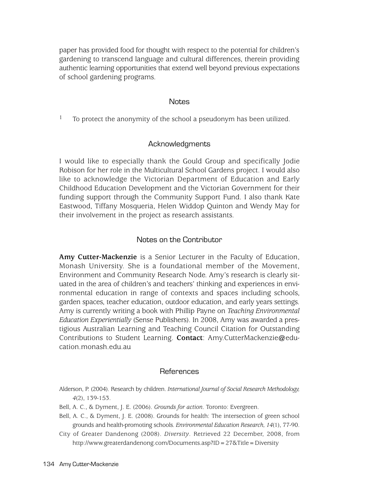paper has provided food for thought with respect to the potential for children's gardening to transcend language and cultural differences, therein providing authentic learning opportunities that extend well beyond previous expectations of school gardening programs.

## **Notes**

 $1$  To protect the anonymity of the school a pseudonym has been utilized.

## Acknowledgments

I would like to especially thank the Gould Group and specifically Jodie Robison for her role in the Multicultural School Gardens project. I would also like to acknowledge the Victorian Department of Education and Early Childhood Education Development and the Victorian Government for their funding support through the Community Support Fund. I also thank Kate Eastwood, Tiffany Mosqueria, Helen Widdop Quinton and Wendy May for their involvement in the project as research assistants.

# Notes on the Contributor

**Amy Cutter-Mackenzie** is a Senior Lecturer in the Faculty of Education, Monash University. She is a foundational member of the Movement, Environment and Community Research Node. Amy's research is clearly situated in the area of children's and teachers' thinking and experiences in environmental education in range of contexts and spaces including schools, garden spaces, teacher education, outdoor education, and early years settings. Amy is currently writing a book with Phillip Payne on *Teaching Environmental Education Experientially* (Sense Publishers). In 2008, Amy was awarded a prestigious Australian Learning and Teaching Council Citation for Outstanding Contributions to Student Learning. **Contact**: Amy.CutterMackenzie@education.monash.edu.au

## References

- Alderson, P. (2004). Research by children. *International Journal of Social Research Methodology, 4*(2), 139-153.
- Bell, A. C., & Dyment, J. E. (2006). *Grounds for action*. Toronto: Evergreen.
- Bell, A. C., & Dyment, J. E. (2008). Grounds for health: The intersection of green school grounds and health-promoting schools. *Environmental Education Research, 14*(1), 77-90.
- City of Greater Dandenong (2008). *Diversity*. Retrieved 22 December, 2008, from http://www.greaterdandenong.com/Documents.asp?ID=27&Title=Diversity